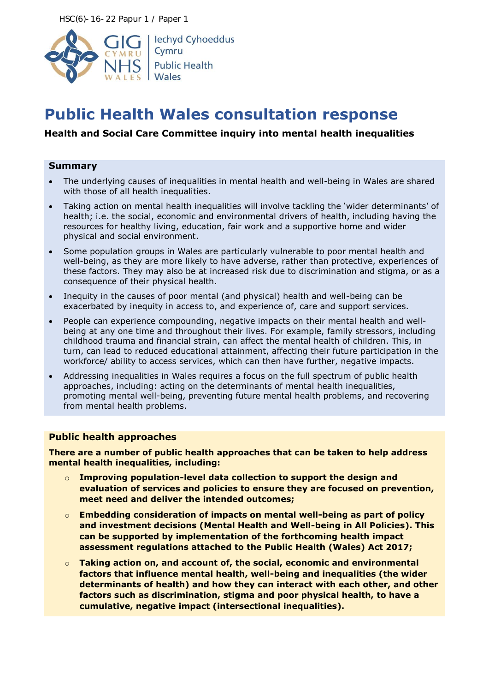HSC(6)-16-22 Papur 1 / Paper 1



# **Public Health Wales consultation response**

## **Health and Social Care Committee inquiry into mental health inequalities**

#### **Summary**

- The underlying causes of inequalities in mental health and well-being in Wales are shared with those of all health inequalities.
- Taking action on mental health inequalities will involve tackling the 'wider determinants' of health; i.e. the social, economic and environmental drivers of health, including having the resources for healthy living, education, fair work and a supportive home and wider physical and social environment.
- Some population groups in Wales are particularly vulnerable to poor mental health and well-being, as they are more likely to have adverse, rather than protective, experiences of these factors. They may also be at increased risk due to discrimination and stigma, or as a consequence of their physical health.
- Inequity in the causes of poor mental (and physical) health and well-being can be exacerbated by inequity in access to, and experience of, care and support services.
- People can experience compounding, negative impacts on their mental health and wellbeing at any one time and throughout their lives. For example, family stressors, including childhood trauma and financial strain, can affect the mental health of children. This, in turn, can lead to reduced educational attainment, affecting their future participation in the workforce/ ability to access services, which can then have further, negative impacts.
- Addressing inequalities in Wales requires a focus on the full spectrum of public health approaches, including: acting on the determinants of mental health inequalities, promoting mental well-being, preventing future mental health problems, and recovering from mental health problems.

## **Public health approaches**

**There are a number of public health approaches that can be taken to help address mental health inequalities, including:**

- o **Improving population-level data collection to support the design and evaluation of services and policies to ensure they are focused on prevention, meet need and deliver the intended outcomes;**
- o **Embedding consideration of impacts on mental well-being as part of policy and investment decisions (Mental Health and Well-being in All Policies). This can be supported by implementation of the forthcoming health impact assessment regulations attached to the Public Health (Wales) Act 2017;**
- o **Taking action on, and account of, the social, economic and environmental factors that influence mental health, well-being and inequalities (the wider determinants of health) and how they can interact with each other, and other factors such as discrimination, stigma and poor physical health, to have a cumulative, negative impact (intersectional inequalities).**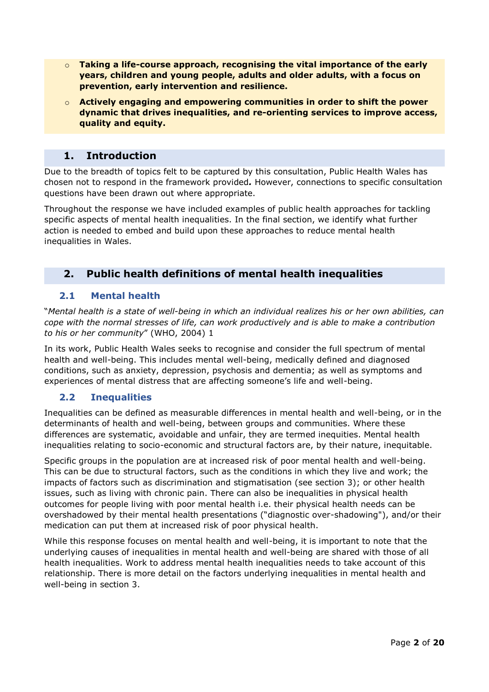- o **Taking a life-course approach, recognising the vital importance of the early years, children and young people, adults and older adults, with a focus on prevention, early intervention and resilience.**
- o **Actively engaging and empowering communities in order to shift the power dynamic that drives inequalities, and re-orienting services to improve access, quality and equity.**

## **1. Introduction**

Due to the breadth of topics felt to be captured by this consultation, Public Health Wales has chosen not to respond in the framework provided*.* However, connections to specific consultation questions have been drawn out where appropriate.

Throughout the response we have included examples of public health approaches for tackling specific aspects of mental health inequalities. In the final section, we identify what further action is needed to embed and build upon these approaches to reduce mental health inequalities in Wales.

# **2. Public health definitions of mental health inequalities**

## **2.1 Mental health**

"*Mental health is a state of well-being in which an individual realizes his or her own abilities, can cope with the normal stresses of life, can work productively and is able to make a contribution to his or her community*" (WHO, 2004) 1

In its work, Public Health Wales seeks to recognise and consider the full spectrum of mental health and well-being. This includes mental well-being, medically defined and diagnosed conditions, such as anxiety, depression, psychosis and dementia; as well as symptoms and experiences of mental distress that are affecting someone's life and well-being.

## **2.2 Inequalities**

Inequalities can be defined as measurable differences in mental health and well-being, or in the determinants of health and well-being, between groups and communities. Where these differences are systematic, avoidable and unfair, they are termed inequities. Mental health inequalities relating to socio-economic and structural factors are, by their nature, inequitable.

Specific groups in the population are at increased risk of poor mental health and well-being. This can be due to structural factors, such as the conditions in which they live and work; the impacts of factors such as discrimination and stigmatisation (see section 3); or other health issues, such as living with chronic pain. There can also be inequalities in physical health outcomes for people living with poor mental health i.e. their physical health needs can be overshadowed by their mental health presentations ("diagnostic over-shadowing"), and/or their medication can put them at increased risk of poor physical health.

While this response focuses on mental health and well-being, it is important to note that the underlying causes of inequalities in mental health and well-being are shared with those of all health inequalities. Work to address mental health inequalities needs to take account of this relationship. There is more detail on the factors underlying inequalities in mental health and well-being in section 3.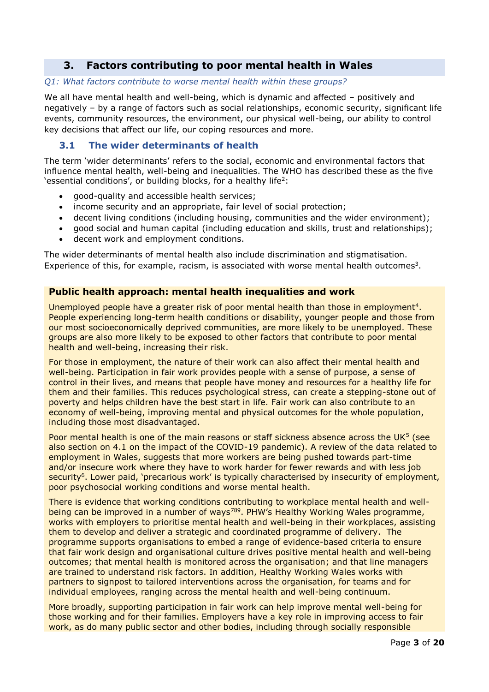# **3. Factors contributing to poor mental health in Wales**

#### *Q1: What factors contribute to worse mental health within these groups?*

We all have mental health and well-being, which is dynamic and affected – positively and negatively – by a range of factors such as social relationships, economic security, significant life events, community resources, the environment, our physical well-being, our ability to control key decisions that affect our life, our coping resources and more.

## **3.1 The wider determinants of health**

The term 'wider determinants' refers to the social, economic and environmental factors that influence mental health, well-being and inequalities. The WHO has described these as the five 'essential conditions', or building blocks, for a healthy life<sup>2</sup>:

- good-quality and accessible health services;
- income security and an appropriate, fair level of social protection;
- decent living conditions (including housing, communities and the wider environment);
- good social and human capital (including education and skills, trust and relationships);
- decent work and employment conditions.

The wider determinants of mental health also include discrimination and stigmatisation. Experience of this, for example, racism, is associated with worse mental health outcomes<sup>3</sup>.

## **Public health approach: mental health inequalities and work**

Unemployed people have a greater risk of poor mental health than those in employment<sup>4</sup>. People experiencing long-term health conditions or disability, younger people and those from our most socioeconomically deprived communities, are more likely to be unemployed. These groups are also more likely to be exposed to other factors that contribute to poor mental health and well-being, increasing their risk.

For those in employment, the nature of their work can also affect their mental health and well-being. Participation in fair work provides people with a sense of purpose, a sense of control in their lives, and means that people have money and resources for a healthy life for them and their families. This reduces psychological stress, can create a stepping-stone out of poverty and helps children have the best start in life. Fair work can also contribute to an economy of well-being, improving mental and physical outcomes for the whole population, including those most disadvantaged.

Poor mental health is one of the main reasons or staff sickness absence across the UK<sup>5</sup> (see also section on 4.1 on the impact of the COVID-19 pandemic). A review of the data related to employment in Wales, suggests that more workers are being pushed towards part-time and/or insecure work where they have to work harder for fewer rewards and with less job security<sup>6</sup>. Lower paid, 'precarious work' is typically characterised by insecurity of employment, poor psychosocial working conditions and worse mental health.

There is evidence that working conditions contributing to workplace mental health and wellbeing can be improved in a number of ways<sup>789</sup>. PHW's Healthy Working Wales programme, works with employers to prioritise mental health and well-being in their workplaces, assisting them to develop and deliver a strategic and coordinated programme of delivery. The programme supports organisations to embed a range of evidence-based criteria to ensure that fair work design and organisational culture drives positive mental health and well-being outcomes; that mental health is monitored across the organisation; and that line managers are trained to understand risk factors. In addition, Healthy Working Wales works with partners to signpost to tailored interventions across the organisation, for teams and for individual employees, ranging across the mental health and well-being continuum.

More broadly, supporting participation in fair work can help improve mental well-being for those working and for their families. Employers have a key role in improving access to fair work, as do many public sector and other bodies, including through socially responsible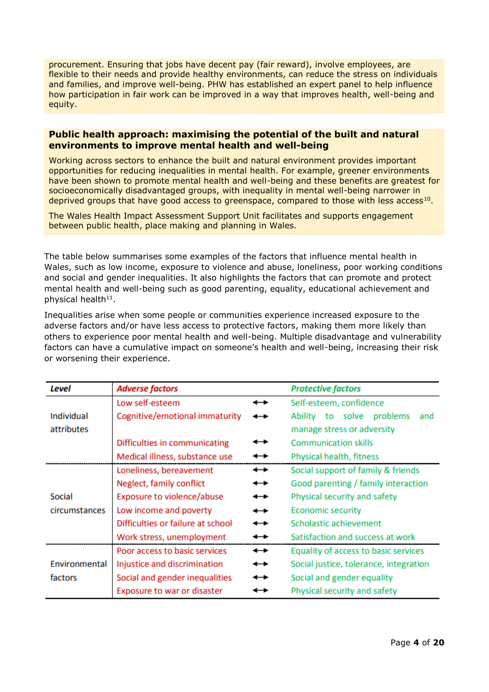procurement. Ensuring that jobs have decent pay (fair reward), involve employees, are flexible to their needs and provide healthy environments, can reduce the stress on individuals and families, and improve well-being. PHW has established an expert panel to help influence how participation in fair work can be improved in a way that improves health, well-being and equity.

#### **Public health approach: maximising the potential of the built and natural environments to improve mental health and well-being**

Working across sectors to enhance the built and natural environment provides important opportunities for reducing inequalities in mental health. For example, greener environments have been shown to promote mental health and well-being and these benefits are greatest for socioeconomically disadvantaged groups, with inequality in mental well-being narrower in deprived groups that have good access to greenspace, compared to those with less access<sup>10</sup>.

The Wales Health Impact Assessment Support Unit facilitates and supports engagement between public health, place making and planning in Wales.

The table below summarises some examples of the factors that influence mental health in Wales, such as low income, exposure to violence and abuse, loneliness, poor working conditions and social and gender inequalities. It also highlights the factors that can promote and protect mental health and well-being such as good parenting, equality, educational achievement and physical health $^{11}$ .

Inequalities arise when some people or communities experience increased exposure to the adverse factors and/or have less access to protective factors, making them more likely than others to experience poor mental health and well-being. Multiple disadvantage and vulnerability factors can have a cumulative impact on someone's health and well-being, increasing their risk or worsening their experience.

| Level         | <b>Adverse factors</b>            |   | <b>Protective factors</b>              |
|---------------|-----------------------------------|---|----------------------------------------|
|               | Low self-esteem                   | ↔ | Self-esteem, confidence                |
| Individual    | Cognitive/emotional immaturity    |   | to solve<br>Ability<br>problems<br>and |
| attributes    |                                   |   | manage stress or adversity             |
|               | Difficulties in communicating     |   | <b>Communication skills</b>            |
|               | Medical illness, substance use    |   | Physical health, fitness               |
|               | Loneliness, bereavement           | ↔ | Social support of family & friends     |
|               | Neglect, family conflict          | ↔ | Good parenting / family interaction    |
| Social        | Exposure to violence/abuse        | ↔ | Physical security and safety           |
| circumstances | Low income and poverty            | ↔ | <b>Economic security</b>               |
|               | Difficulties or failure at school | ↔ | Scholastic achievement                 |
|               | Work stress, unemployment         |   | Satisfaction and success at work       |
|               | Poor access to basic services     | ↔ | Equality of access to basic services   |
| Environmental | Injustice and discrimination      | ↔ | Social justice, tolerance, integration |
| factors       | Social and gender inequalities    | ↔ | Social and gender equality             |
|               | Exposure to war or disaster       |   | Physical security and safety           |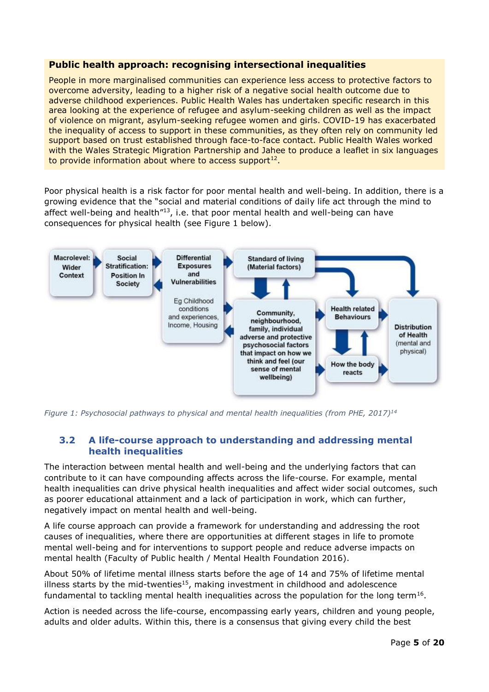## **Public health approach: recognising intersectional inequalities**

People in more marginalised communities can experience less access to protective factors to overcome adversity, leading to a higher risk of a negative social health outcome due to adverse childhood experiences. Public Health Wales has undertaken specific research in this area looking at the experience of refugee and asylum-seeking children as well as the impact of violence on migrant, asylum-seeking refugee women and girls. COVID-19 has exacerbated the inequality of access to support in these communities, as they often rely on community led support based on trust established through face-to-face contact. Public Health Wales worked with the Wales Strategic Migration Partnership and Jahee to produce a leaflet in six languages to provide information about where to access support $^{12}$ .

Poor physical health is a risk factor for poor mental health and well-being. In addition, there is a growing evidence that the "social and material conditions of daily life act through the mind to affect well-being and health"<sup>13</sup>, i.e. that poor mental health and well-being can have consequences for physical health (see Figure 1 below).



*Figure 1: Psychosocial pathways to physical and mental health inequalities (from PHE, 2017)<sup>14</sup>*

## **3.2 A life-course approach to understanding and addressing mental health inequalities**

The interaction between mental health and well-being and the underlying factors that can contribute to it can have compounding affects across the life-course. For example, mental health inequalities can drive physical health inequalities and affect wider social outcomes, such as poorer educational attainment and a lack of participation in work, which can further, negatively impact on mental health and well-being.

A life course approach can provide a framework for understanding and addressing the root causes of inequalities, where there are opportunities at different stages in life to promote mental well-being and for interventions to support people and reduce adverse impacts on mental health (Faculty of Public health / Mental Health Foundation 2016).

About 50% of lifetime mental illness starts before the age of 14 and 75% of lifetime mental illness starts by the mid-twenties<sup>15</sup>, making investment in childhood and adolescence fundamental to tackling mental health inequalities across the population for the long term<sup>16</sup>.

Action is needed across the life-course, encompassing early years, children and young people, adults and older adults. Within this, there is a consensus that giving every child the best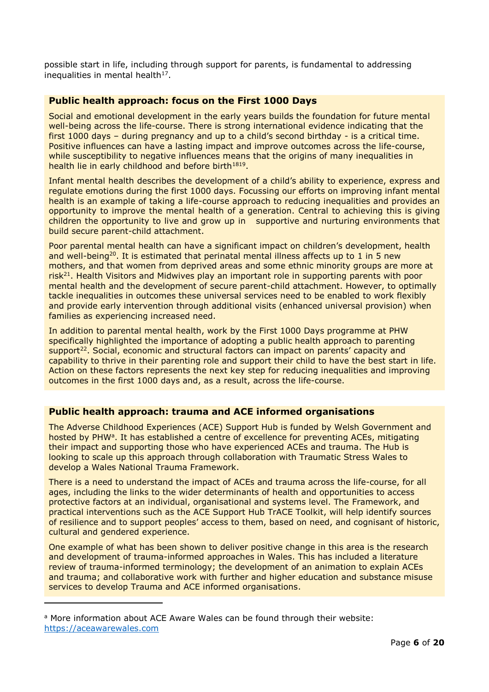possible start in life, including through support for parents, is fundamental to addressing inequalities in mental health $17$ .

## **Public health approach: focus on the First 1000 Days**

Social and emotional development in the early years builds the foundation for future mental well-being across the life-course. There is strong international evidence indicating that the first 1000 days – during pregnancy and up to a child's second birthday - is a critical time. Positive influences can have a lasting impact and improve outcomes across the life-course, while susceptibility to negative influences means that the origins of many inequalities in health lie in early childhood and before birth<sup>1819</sup>.

Infant mental health describes the development of a child's ability to experience, express and regulate emotions during the first 1000 days. Focussing our efforts on improving infant mental health is an example of taking a life-course approach to reducing inequalities and provides an opportunity to improve the mental health of a generation. Central to achieving this is giving children the opportunity to live and grow up in supportive and nurturing environments that build secure parent-child attachment.

Poor parental mental health can have a significant impact on children's development, health and well-being<sup>20</sup>. It is estimated that perinatal mental illness affects up to 1 in 5 new mothers, and that women from deprived areas and some ethnic minority groups are more at risk<sup>21</sup>. Health Visitors and Midwives play an important role in supporting parents with poor mental health and the development of secure parent-child attachment. However, to optimally tackle inequalities in outcomes these universal services need to be enabled to work flexibly and provide early intervention through additional visits (enhanced universal provision) when families as experiencing increased need.

In addition to parental mental health, work by the First 1000 Days programme at PHW specifically highlighted the importance of adopting a public health approach to parenting support<sup>22</sup>. Social, economic and structural factors can impact on parents' capacity and capability to thrive in their parenting role and support their child to have the best start in life. Action on these factors represents the next key step for reducing inequalities and improving outcomes in the first 1000 days and, as a result, across the life-course.

## **Public health approach: trauma and ACE informed organisations**

The Adverse Childhood Experiences (ACE) Support Hub is funded by Welsh Government and hosted by PHW<sup>a</sup>. It has established a centre of excellence for preventing ACEs, mitigating their impact and supporting those who have experienced ACEs and trauma. The Hub is looking to scale up this approach through collaboration with Traumatic Stress Wales to develop a Wales National Trauma Framework.

There is a need to understand the impact of ACEs and trauma across the life-course, for all ages, including the links to the wider determinants of health and opportunities to access protective factors at an individual, organisational and systems level. The Framework, and practical interventions such as the ACE Support Hub TrACE Toolkit, will help identify sources of resilience and to support peoples' access to them, based on need, and cognisant of historic, cultural and gendered experience.

One example of what has been shown to deliver positive change in this area is the research and development of trauma-informed approaches in Wales. This has included a literature review of trauma-informed terminology; the development of an animation to explain ACEs and trauma; and collaborative work with further and higher education and substance misuse services to develop Trauma and ACE informed organisations.

-

<sup>a</sup> More information about ACE Aware Wales can be found through their website: [https://aceawarewales.com](https://aceawarewales.com/)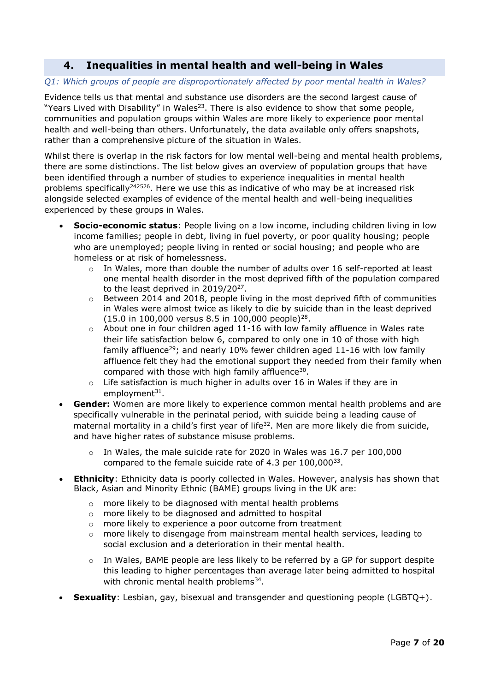# **4. Inequalities in mental health and well-being in Wales**

#### *Q1: Which groups of people are disproportionately affected by poor mental health in Wales?*

Evidence tells us that mental and substance use disorders are the second largest cause of "Years Lived with Disability" in Wales<sup>23</sup>. There is also evidence to show that some people, communities and population groups within Wales are more likely to experience poor mental health and well-being than others. Unfortunately, the data available only offers snapshots, rather than a comprehensive picture of the situation in Wales.

Whilst there is overlap in the risk factors for low mental well-being and mental health problems, there are some distinctions. The list below gives an overview of population groups that have been identified through a number of studies to experience inequalities in mental health problems specifically<sup>242526</sup>. Here we use this as indicative of who may be at increased risk alongside selected examples of evidence of the mental health and well-being inequalities experienced by these groups in Wales.

- **Socio-economic status**: People living on a low income, including children living in low income families; people in debt, living in fuel poverty, or poor quality housing; people who are unemployed; people living in rented or social housing; and people who are homeless or at risk of homelessness.
	- o In Wales, more than double the number of adults over 16 self-reported at least one mental health disorder in the most deprived fifth of the population compared to the least deprived in  $2019/20^{27}$ .
	- $\circ$  Between 2014 and 2018, people living in the most deprived fifth of communities in Wales were almost twice as likely to die by suicide than in the least deprived  $(15.0 \text{ in } 100,000 \text{ versus } 8.5 \text{ in } 100,000 \text{ people})^{28}.$
	- $\circ$  About one in four children aged 11-16 with low family affluence in Wales rate their life satisfaction below 6, compared to only one in 10 of those with high family affluence<sup>29</sup>; and nearly 10% fewer children aged 11-16 with low family affluence felt they had the emotional support they needed from their family when compared with those with high family affluence $30$ .
	- $\circ$  Life satisfaction is much higher in adults over 16 in Wales if they are in employment<sup>31</sup>.
- **Gender:** Women are more likely to experience common mental health problems and are specifically vulnerable in the perinatal period, with suicide being a leading cause of maternal mortality in a child's first year of life<sup>32</sup>. Men are more likely die from suicide, and have higher rates of substance misuse problems.
	- $\circ$  In Wales, the male suicide rate for 2020 in Wales was 16.7 per 100,000 compared to the female suicide rate of 4.3 per  $100,000^{33}$ .
- **Ethnicity**: Ethnicity data is poorly collected in Wales. However, analysis has shown that Black, Asian and Minority Ethnic (BAME) groups living in the UK are:
	- o more likely to be diagnosed with mental health problems
	- o more likely to be diagnosed and admitted to hospital
	- o more likely to experience a poor outcome from treatment
	- o more likely to disengage from mainstream mental health services, leading to social exclusion and a deterioration in their mental health.
	- $\circ$  In Wales, BAME people are less likely to be referred by a GP for support despite this leading to higher percentages than average later being admitted to hospital with chronic mental health problems $^{34}$ .
- **Sexuality**: Lesbian, gay, bisexual and transgender and questioning people (LGBTQ+).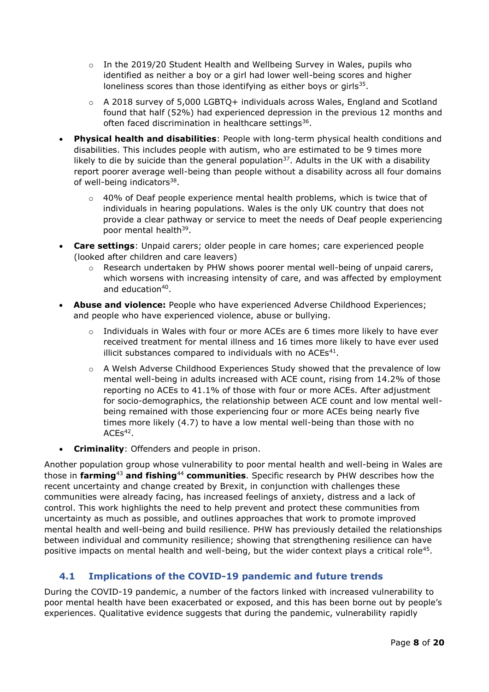- $\circ$  In the 2019/20 Student Health and Wellbeing Survey in Wales, pupils who identified as neither a boy or a girl had lower well-being scores and higher loneliness scores than those identifying as either boys or girls $35$ .
- $\circ$  A 2018 survey of 5,000 LGBTQ+ individuals across Wales, England and Scotland found that half (52%) had experienced depression in the previous 12 months and often faced discrimination in healthcare settings<sup>36</sup>.
- **Physical health and disabilities**: People with long-term physical health conditions and disabilities. This includes people with autism, who are estimated to be 9 times more likely to die by suicide than the general population<sup>37</sup>. Adults in the UK with a disability report poorer average well-being than people without a disability across all four domains of well-being indicators<sup>38</sup>.
	- $\circ$  40% of Deaf people experience mental health problems, which is twice that of individuals in hearing populations. Wales is the only UK country that does not provide a clear pathway or service to meet the needs of Deaf people experiencing poor mental health<sup>39</sup>.
- **Care settings**: Unpaid carers; older people in care homes; care experienced people (looked after children and care leavers)
	- $\circ$  Research undertaken by PHW shows poorer mental well-being of unpaid carers, which worsens with increasing intensity of care, and was affected by employment and education<sup>40</sup>.
- **Abuse and violence:** People who have experienced Adverse Childhood Experiences; and people who have experienced violence, abuse or bullying.
	- $\circ$  Individuals in Wales with four or more ACEs are 6 times more likely to have ever received treatment for mental illness and 16 times more likely to have ever used illicit substances compared to individuals with no  $ACEs<sup>41</sup>$ .
	- $\circ$  A Welsh Adverse Childhood Experiences Study showed that the prevalence of low mental well-being in adults increased with ACE count, rising from 14.2% of those reporting no ACEs to 41.1% of those with four or more ACEs. After adjustment for socio-demographics, the relationship between ACE count and low mental wellbeing remained with those experiencing four or more ACEs being nearly five times more likely (4.7) to have a low mental well-being than those with no  $ACEs<sup>42</sup>$ .
- **Criminality**: Offenders and people in prison.

Another population group whose vulnerability to poor mental health and well-being in Wales are those in **farming**<sup>43</sup> **and fishing**<sup>44</sup> **communities**. Specific research by PHW describes how the recent uncertainty and change created by Brexit, in conjunction with challenges these communities were already facing, has increased feelings of anxiety, distress and a lack of control. This work highlights the need to help prevent and protect these communities from uncertainty as much as possible, and outlines approaches that work to promote improved mental health and well-being and build resilience. PHW has previously detailed the relationships between individual and community resilience; showing that strengthening resilience can have positive impacts on mental health and well-being, but the wider context plays a critical role<sup>45</sup>.

# **4.1 Implications of the COVID-19 pandemic and future trends**

During the COVID-19 pandemic, a number of the factors linked with increased vulnerability to poor mental health have been exacerbated or exposed, and this has been borne out by people's experiences. Qualitative evidence suggests that during the pandemic, vulnerability rapidly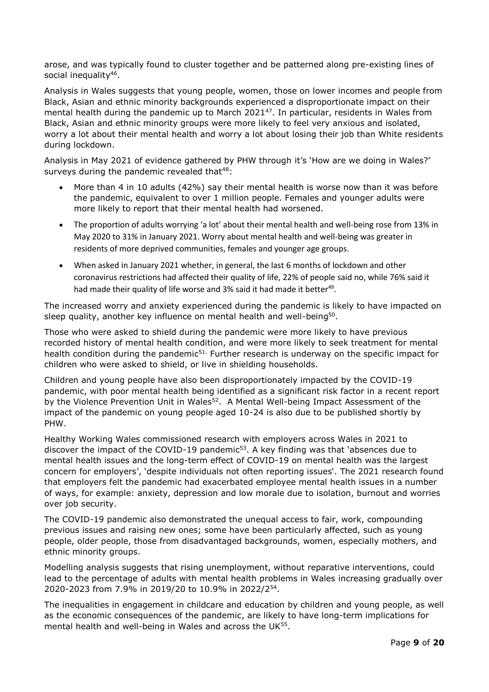arose, and was typically found to cluster together and be patterned along pre-existing lines of social inequality<sup>46</sup>.

Analysis in Wales suggests that young people, women, those on lower incomes and people from Black, Asian and ethnic minority backgrounds experienced a disproportionate impact on their mental health during the pandemic up to March 2021<sup>47</sup>. In particular, residents in Wales from Black, Asian and ethnic minority groups were more likely to feel very anxious and isolated, worry a lot about their mental health and worry a lot about losing their job than White residents during lockdown.

Analysis in May 2021 of evidence gathered by PHW through it's 'How are we doing in Wales?' surveys during the pandemic revealed that $48$ :

- More than 4 in 10 adults (42%) say their mental health is worse now than it was before the pandemic, equivalent to over 1 million people. Females and younger adults were more likely to report that their mental health had worsened.
- The proportion of adults worrying 'a lot' about their mental health and well-being rose from 13% in May 2020 to 31% in January 2021. Worry about mental health and well-being was greater in residents of more deprived communities, females and younger age groups.
- When asked in January 2021 whether, in general, the last 6 months of lockdown and other coronavirus restrictions had affected their quality of life, 22% of people said no, while 76% said it had made their quality of life worse and 3% said it had made it better<sup>49</sup>.

The increased worry and anxiety experienced during the pandemic is likely to have impacted on sleep quality, another key influence on mental health and well-being<sup>50</sup>.

Those who were asked to shield during the pandemic were more likely to have previous recorded history of mental health condition, and were more likely to seek treatment for mental health condition during the pandemic<sup>51.</sup> Further research is underway on the specific impact for children who were asked to shield, or live in shielding households.

Children and young people have also been disproportionately impacted by the COVID-19 pandemic, with poor mental health being identified as a significant risk factor in a recent report by the Violence Prevention Unit in Wales<sup>52</sup>. A Mental Well-being Impact Assessment of the impact of the pandemic on young people aged 10-24 is also due to be published shortly by PHW.

Healthy Working Wales commissioned research with employers across Wales in 2021 to discover the impact of the COVID-19 pandemic<sup>53</sup>. A key finding was that 'absences due to mental health issues and the long-term effect of COVID-19 on mental health was the largest concern for employers', 'despite individuals not often reporting issues'. The 2021 research found that employers felt the pandemic had exacerbated employee mental health issues in a number of ways, for example: anxiety, depression and low morale due to isolation, burnout and worries over job security.

The COVID-19 pandemic also demonstrated the unequal access to fair, work, compounding previous issues and raising new ones; some have been particularly affected, such as young people, older people, those from disadvantaged backgrounds, women, especially mothers, and ethnic minority groups.

Modelling analysis suggests that rising unemployment, without reparative interventions, could lead to the percentage of adults with mental health problems in Wales increasing gradually over 2020-2023 from 7.9% in 2019/20 to 10.9% in 2022/2<sup>54</sup> .

The inequalities in engagement in childcare and education by children and young people, as well as the economic consequences of the pandemic, are likely to have long-term implications for mental health and well-being in Wales and across the UK $^{55}$ .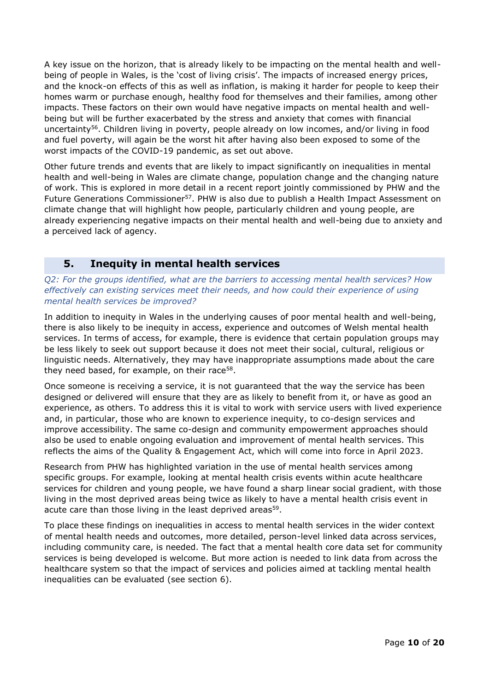A key issue on the horizon, that is already likely to be impacting on the mental health and wellbeing of people in Wales, is the 'cost of living crisis'. The impacts of increased energy prices, and the knock-on effects of this as well as inflation, is making it harder for people to keep their homes warm or purchase enough, healthy food for themselves and their families, among other impacts. These factors on their own would have negative impacts on mental health and wellbeing but will be further exacerbated by the stress and anxiety that comes with financial uncertainty<sup>56</sup>. Children living in poverty, people already on low incomes, and/or living in food and fuel poverty, will again be the worst hit after having also been exposed to some of the worst impacts of the COVID-19 pandemic, as set out above.

Other future trends and events that are likely to impact significantly on inequalities in mental health and well-being in Wales are climate change, population change and the changing nature of work. This is explored in more detail in a recent report jointly commissioned by PHW and the Future Generations Commissioner<sup>57</sup>. PHW is also due to publish a Health Impact Assessment on climate change that will highlight how people, particularly children and young people, are already experiencing negative impacts on their mental health and well-being due to anxiety and a perceived lack of agency.

# **5. Inequity in mental health services**

*Q2: For the groups identified, what are the barriers to accessing mental health services? How effectively can existing services meet their needs, and how could their experience of using mental health services be improved?*

In addition to inequity in Wales in the underlying causes of poor mental health and well-being, there is also likely to be inequity in access, experience and outcomes of Welsh mental health services. In terms of access, for example, there is evidence that certain population groups may be less likely to seek out support because it does not meet their social, cultural, religious or linguistic needs. Alternatively, they may have inappropriate assumptions made about the care they need based, for example, on their race<sup>58</sup>.

Once someone is receiving a service, it is not guaranteed that the way the service has been designed or delivered will ensure that they are as likely to benefit from it, or have as good an experience, as others. To address this it is vital to work with service users with lived experience and, in particular, those who are known to experience inequity, to co-design services and improve accessibility. The same co-design and community empowerment approaches should also be used to enable ongoing evaluation and improvement of mental health services. This reflects the aims of the Quality & Engagement Act, which will come into force in April 2023.

Research from PHW has highlighted variation in the use of mental health services among specific groups. For example, looking at mental health crisis events within acute healthcare services for children and young people, we have found a sharp linear social gradient, with those living in the most deprived areas being twice as likely to have a mental health crisis event in acute care than those living in the least deprived areas<sup>59</sup>.

To place these findings on inequalities in access to mental health services in the wider context of mental health needs and outcomes, more detailed, person-level linked data across services, including community care, is needed. The fact that a mental health core data set for community services is being developed is welcome. But more action is needed to link data from across the healthcare system so that the impact of services and policies aimed at tackling mental health inequalities can be evaluated (see section 6).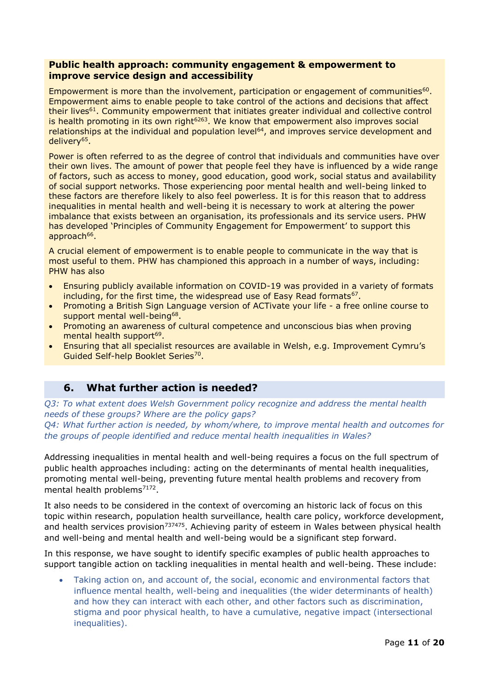#### **Public health approach: community engagement & empowerment to improve service design and accessibility**

Empowerment is more than the involvement, participation or engagement of communities<sup>60</sup>. Empowerment aims to enable people to take control of the actions and decisions that affect their lives<sup>61</sup>. Community empowerment that initiates greater individual and collective control is health promoting in its own right $6263$ . We know that empowerment also improves social relationships at the individual and population level<sup>64</sup>, and improves service development and delivery<sup>65</sup>.

Power is often referred to as the degree of control that individuals and communities have over their own lives. The amount of power that people feel they have is influenced by a wide range of factors, such as access to money, good education, good work, social status and availability of social support networks. Those experiencing poor mental health and well-being linked to these factors are therefore likely to also feel powerless. It is for this reason that to address inequalities in mental health and well-being it is necessary to work at altering the power imbalance that exists between an organisation, its professionals and its service users. PHW has developed 'Principles of Community Engagement for Empowerment' to support this approach<sup>66</sup>.

A crucial element of empowerment is to enable people to communicate in the way that is most useful to them. PHW has championed this approach in a number of ways, including: PHW has also

- Ensuring publicly available information on COVID-19 was provided in a variety of formats including, for the first time, the widespread use of Easy Read formats<sup>67</sup>.
- Promoting a British Sign Language version of ACTivate your life a free online course to support mental well-being<sup>68</sup>.
- Promoting an awareness of cultural competence and unconscious bias when proving mental health support<sup>69</sup>.
- Ensuring that all specialist resources are available in Welsh, e.g. Improvement Cymru's Guided Self-help Booklet Series<sup>70</sup>.

# **6. What further action is needed?**

*Q3: To what extent does Welsh Government policy recognize and address the mental health needs of these groups? Where are the policy gaps?*

*Q4: What further action is needed, by whom/where, to improve mental health and outcomes for the groups of people identified and reduce mental health inequalities in Wales?*

Addressing inequalities in mental health and well-being requires a focus on the full spectrum of public health approaches including: acting on the determinants of mental health inequalities, promoting mental well-being, preventing future mental health problems and recovery from mental health problems<sup>7172</sup>.

It also needs to be considered in the context of overcoming an historic lack of focus on this topic within research, population health surveillance, health care policy, workforce development, and health services provision<sup>737475</sup>. Achieving parity of esteem in Wales between physical health and well-being and mental health and well-being would be a significant step forward.

In this response, we have sought to identify specific examples of public health approaches to support tangible action on tackling inequalities in mental health and well-being. These include:

 Taking action on, and account of, the social, economic and environmental factors that influence mental health, well-being and inequalities (the wider determinants of health) and how they can interact with each other, and other factors such as discrimination, stigma and poor physical health, to have a cumulative, negative impact (intersectional inequalities).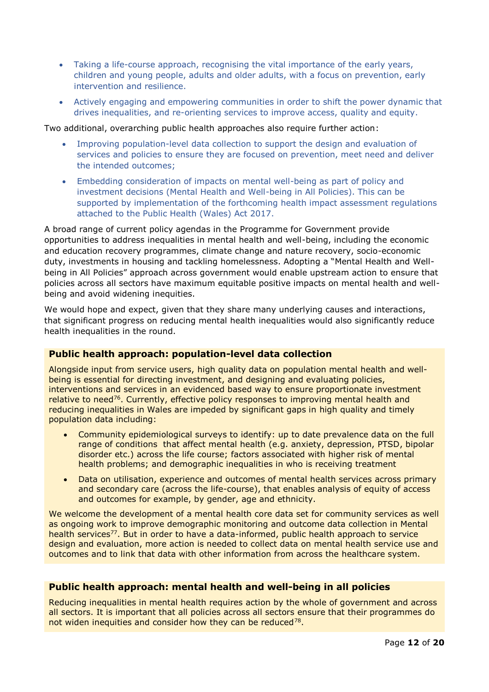- Taking a life-course approach, recognising the vital importance of the early years, children and young people, adults and older adults, with a focus on prevention, early intervention and resilience.
- Actively engaging and empowering communities in order to shift the power dynamic that drives inequalities, and re-orienting services to improve access, quality and equity.

Two additional, overarching public health approaches also require further action:

- Improving population-level data collection to support the design and evaluation of services and policies to ensure they are focused on prevention, meet need and deliver the intended outcomes;
- Embedding consideration of impacts on mental well-being as part of policy and investment decisions (Mental Health and Well-being in All Policies). This can be supported by implementation of the forthcoming health impact assessment regulations attached to the Public Health (Wales) Act 2017.

A broad range of current policy agendas in the Programme for Government provide opportunities to address inequalities in mental health and well-being, including the economic and education recovery programmes, climate change and nature recovery, socio-economic duty, investments in housing and tackling homelessness. Adopting a "Mental Health and Wellbeing in All Policies" approach across government would enable upstream action to ensure that policies across all sectors have maximum equitable positive impacts on mental health and wellbeing and avoid widening inequities.

We would hope and expect, given that they share many underlying causes and interactions, that significant progress on reducing mental health inequalities would also significantly reduce health inequalities in the round.

## **Public health approach: population-level data collection**

Alongside input from service users, high quality data on population mental health and wellbeing is essential for directing investment, and designing and evaluating policies, interventions and services in an evidenced based way to ensure proportionate investment relative to need<sup>76</sup>. Currently, effective policy responses to improving mental health and reducing inequalities in Wales are impeded by significant gaps in high quality and timely population data including:

- Community epidemiological surveys to identify: up to date prevalence data on the full range of conditions that affect mental health (e.g. anxiety, depression, PTSD, bipolar disorder etc.) across the life course; factors associated with higher risk of mental health problems; and demographic inequalities in who is receiving treatment
- Data on utilisation, experience and outcomes of mental health services across primary and secondary care (across the life-course), that enables analysis of equity of access and outcomes for example, by gender, age and ethnicity.

We welcome the development of a mental health core data set for community services as well as ongoing work to improve demographic monitoring and outcome data collection in Mental health services<sup>77</sup>. But in order to have a data-informed, public health approach to service design and evaluation, more action is needed to collect data on mental health service use and outcomes and to link that data with other information from across the healthcare system.

## **Public health approach: mental health and well-being in all policies**

Reducing inequalities in mental health requires action by the whole of government and across all sectors. It is important that all policies across all sectors ensure that their programmes do not widen inequities and consider how they can be reduced $^{78}$ .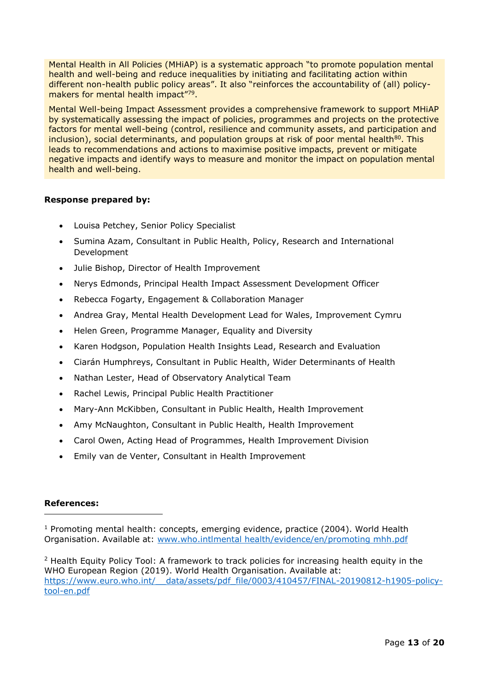Mental Health in All Policies (MHiAP) is a systematic approach "to promote population mental health and well-being and reduce inequalities by initiating and facilitating action within different non-health public policy areas". It also "reinforces the accountability of (all) policymakers for mental health impact"79.

Mental Well-being Impact Assessment provides a comprehensive framework to support MHiAP by systematically assessing the impact of policies, programmes and projects on the protective factors for mental well-being (control, resilience and community assets, and participation and  $inclusion$ ), social determinants, and population groups at risk of poor mental health $80$ . This leads to recommendations and actions to maximise positive impacts, prevent or mitigate negative impacts and identify ways to measure and monitor the impact on population mental health and well-being.

#### **Response prepared by:**

- Louisa Petchey, Senior Policy Specialist
- Sumina Azam, Consultant in Public Health, Policy, Research and International Development
- Julie Bishop, Director of Health Improvement
- Nerys Edmonds, Principal Health Impact Assessment Development Officer
- Rebecca Fogarty, Engagement & Collaboration Manager
- Andrea Gray, Mental Health Development Lead for Wales, Improvement Cymru
- Helen Green, Programme Manager, Equality and Diversity
- Karen Hodgson, Population Health Insights Lead, Research and Evaluation
- Ciarán Humphreys, Consultant in Public Health, Wider Determinants of Health
- Nathan Lester, Head of Observatory Analytical Team
- Rachel Lewis, Principal Public Health Practitioner
- Mary-Ann McKibben, Consultant in Public Health, Health Improvement
- Amy McNaughton, Consultant in Public Health, Health Improvement
- Carol Owen, Acting Head of Programmes, Health Improvement Division
- Emily van de Venter, Consultant in Health Improvement

#### **References:**

 $1$  Promoting mental health: concepts, emerging evidence, practice (2004). World Health Organisation. Available at: www.who.intlmental health/evidence/en/promoting mhh.pdf

 $<sup>2</sup>$  Health Equity Policy Tool: A framework to track policies for increasing health equity in the</sup> WHO European Region (2019). World Health Organisation. Available at: [https://www.euro.who.int/\\_\\_data/assets/pdf\\_file/0003/410457/FINAL-20190812-h1905-policy](https://www.euro.who.int/__data/assets/pdf_file/0003/410457/FINAL-20190812-h1905-policy-tool-en.pdf)[tool-en.pdf](https://www.euro.who.int/__data/assets/pdf_file/0003/410457/FINAL-20190812-h1905-policy-tool-en.pdf)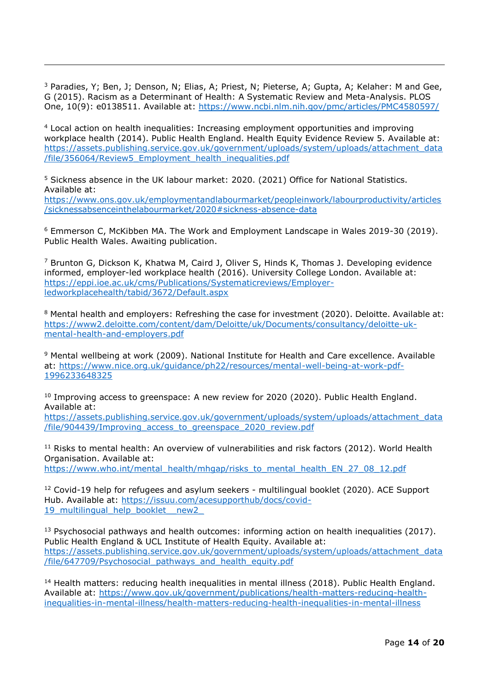<sup>3</sup> Paradies, Y; Ben, J; Denson, N; Elias, A; Priest, N; Pieterse, A; Gupta, A; Kelaher: M and Gee, G (2015). Racism as a Determinant of Health: A Systematic Review and Meta-Analysis. PLOS One, 10(9): e0138511. Available at: <https://www.ncbi.nlm.nih.gov/pmc/articles/PMC4580597/>

-

<sup>4</sup> Local action on health inequalities: Increasing employment opportunities and improving workplace health (2014). Public Health England. Health Equity Evidence Review 5. Available at: [https://assets.publishing.service.gov.uk/government/uploads/system/uploads/attachment\\_data](https://assets.publishing.service.gov.uk/government/uploads/system/uploads/attachment_data/file/356064/Review5_Employment_health_inequalities.pdf) [/file/356064/Review5\\_Employment\\_health\\_inequalities.pdf](https://assets.publishing.service.gov.uk/government/uploads/system/uploads/attachment_data/file/356064/Review5_Employment_health_inequalities.pdf)

<sup>5</sup> Sickness absence in the UK labour market: 2020. (2021) Office for National Statistics. Available at:

[https://www.ons.gov.uk/employmentandlabourmarket/peopleinwork/labourproductivity/articles](https://www.ons.gov.uk/employmentandlabourmarket/peopleinwork/labourproductivity/articles/sicknessabsenceinthelabourmarket/2020#sickness-absence-data) [/sicknessabsenceinthelabourmarket/2020#sickness-absence-data](https://www.ons.gov.uk/employmentandlabourmarket/peopleinwork/labourproductivity/articles/sicknessabsenceinthelabourmarket/2020#sickness-absence-data)

<sup>6</sup> Emmerson C, McKibben MA. The Work and Employment Landscape in Wales 2019-30 (2019). Public Health Wales. Awaiting publication.

 $<sup>7</sup>$  Brunton G, Dickson K, Khatwa M, Caird J, Oliver S, Hinds K, Thomas J. Developing evidence</sup> informed, employer-led workplace health (2016). University College London. Available at: [https://eppi.ioe.ac.uk/cms/Publications/Systematicreviews/Employer](https://eppi.ioe.ac.uk/cms/Publications/Systematicreviews/Employer-ledworkplacehealth/tabid/3672/Default.aspx)[ledworkplacehealth/tabid/3672/Default.aspx](https://eppi.ioe.ac.uk/cms/Publications/Systematicreviews/Employer-ledworkplacehealth/tabid/3672/Default.aspx)

<sup>8</sup> Mental health and employers: Refreshing the case for investment (2020). Deloitte. Available at: [https://www2.deloitte.com/content/dam/Deloitte/uk/Documents/consultancy/deloitte-uk](https://www2.deloitte.com/content/dam/Deloitte/uk/Documents/consultancy/deloitte-uk-mental-health-and-employers.pdf)[mental-health-and-employers.pdf](https://www2.deloitte.com/content/dam/Deloitte/uk/Documents/consultancy/deloitte-uk-mental-health-and-employers.pdf)

<sup>9</sup> Mental wellbeing at work (2009). National Institute for Health and Care excellence. Available at: [https://www.nice.org.uk/guidance/ph22/resources/mental-well-being-at-work-pdf-](https://www.nice.org.uk/guidance/ph22/resources/mental-well-being-at-work-pdf-1996233648325)[1996233648325](https://www.nice.org.uk/guidance/ph22/resources/mental-well-being-at-work-pdf-1996233648325) 

<sup>10</sup> Improving access to greenspace: A new review for 2020 (2020). Public Health England. Available at:

[https://assets.publishing.service.gov.uk/government/uploads/system/uploads/attachment\\_data](https://assets.publishing.service.gov.uk/government/uploads/system/uploads/attachment_data/file/904439/Improving_access_to_greenspace_2020_review.pdf) [/file/904439/Improving\\_access\\_to\\_greenspace\\_2020\\_review.pdf](https://assets.publishing.service.gov.uk/government/uploads/system/uploads/attachment_data/file/904439/Improving_access_to_greenspace_2020_review.pdf)

 $11$  Risks to mental health: An overview of vulnerabilities and risk factors (2012). World Health Organisation. Available at: [https://www.who.int/mental\\_health/mhgap/risks\\_to\\_mental\\_health\\_EN\\_27\\_08\\_12.pdf](https://www.who.int/mental_health/mhgap/risks_to_mental_health_EN_27_08_12.pdf)

<sup>12</sup> Covid-19 help for refugees and asylum seekers - multilingual booklet (2020). ACE Support Hub. Available at: [https://issuu.com/acesupporthub/docs/covid-](https://issuu.com/acesupporthub/docs/covid-19_multilingual_help_booklet__new2_)19\_multilingual\_help\_booklet\_new2

 $13$  Psychosocial pathways and health outcomes: informing action on health inequalities (2017). Public Health England & UCL Institute of Health Equity. Available at: [https://assets.publishing.service.gov.uk/government/uploads/system/uploads/attachment\\_data](https://assets.publishing.service.gov.uk/government/uploads/system/uploads/attachment_data/file/647709/Psychosocial_pathways_and_health_equity.pdf) [/file/647709/Psychosocial\\_pathways\\_and\\_health\\_equity.pdf](https://assets.publishing.service.gov.uk/government/uploads/system/uploads/attachment_data/file/647709/Psychosocial_pathways_and_health_equity.pdf)

<sup>14</sup> Health matters: reducing health inequalities in mental illness (2018). Public Health England. Available at: [https://www.gov.uk/government/publications/health-matters-reducing-health](https://www.gov.uk/government/publications/health-matters-reducing-health-inequalities-in-mental-illness/health-matters-reducing-health-inequalities-in-mental-illness)[inequalities-in-mental-illness/health-matters-reducing-health-inequalities-in-mental-illness](https://www.gov.uk/government/publications/health-matters-reducing-health-inequalities-in-mental-illness/health-matters-reducing-health-inequalities-in-mental-illness)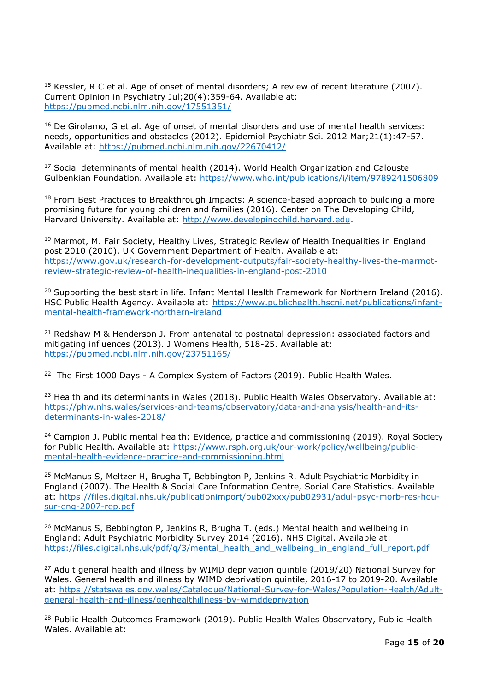<sup>15</sup> Kessler, R C et al. Age of onset of mental disorders; A review of recent literature (2007). Current Opinion in Psychiatry Jul;20(4):359-64. Available at: <https://pubmed.ncbi.nlm.nih.gov/17551351/>

-

 $16$  De Girolamo, G et al. Age of onset of mental disorders and use of mental health services: needs, opportunities and obstacles (2012). Epidemiol Psychiatr Sci. 2012 Mar;21(1):47-57. Available at:<https://pubmed.ncbi.nlm.nih.gov/22670412/>

<sup>17</sup> Social determinants of mental health (2014). World Health Organization and Calouste Gulbenkian Foundation. Available at:<https://www.who.int/publications/i/item/9789241506809>

 $18$  From Best Practices to Breakthrough Impacts: A science-based approach to building a more promising future for young children and families (2016). Center on The Developing Child, Harvard University. Available at: [http://www.developingchild.harvard.edu.](http://www.developingchild.harvard.edu/)

<sup>19</sup> Marmot, M. Fair Society, Healthy Lives, Strategic Review of Health Inequalities in England post 2010 (2010). UK Government Department of Health. Available at: [https://www.gov.uk/research-for-development-outputs/fair-society-healthy-lives-the-marmot](https://www.gov.uk/research-for-development-outputs/fair-society-healthy-lives-the-marmot-review-strategic-review-of-health-inequalities-in-england-post-2010)[review-strategic-review-of-health-inequalities-in-england-post-2010](https://www.gov.uk/research-for-development-outputs/fair-society-healthy-lives-the-marmot-review-strategic-review-of-health-inequalities-in-england-post-2010)

<sup>20</sup> Supporting the best start in life. Infant Mental Health Framework for Northern Ireland (2016). HSC Public Health Agency. Available at: [https://www.publichealth.hscni.net/publications/infant](https://www.publichealth.hscni.net/publications/infant-mental-health-framework-northern-ireland)[mental-health-framework-northern-ireland](https://www.publichealth.hscni.net/publications/infant-mental-health-framework-northern-ireland)

<sup>21</sup> Redshaw M & Henderson J. From antenatal to postnatal depression: associated factors and mitigating influences (2013). J Womens Health, 518-25. Available at: <https://pubmed.ncbi.nlm.nih.gov/23751165/>

<sup>22</sup> The First 1000 Days - A Complex System of Factors (2019). Public Health Wales.

<sup>23</sup> Health and its determinants in Wales (2018). Public Health Wales Observatory. Available at: [https://phw.nhs.wales/services-and-teams/observatory/data-and-analysis/health-and-its](https://phw.nhs.wales/services-and-teams/observatory/data-and-analysis/health-and-its-determinants-in-wales-2018/)[determinants-in-wales-2018/](https://phw.nhs.wales/services-and-teams/observatory/data-and-analysis/health-and-its-determinants-in-wales-2018/)

 $24$  Campion J. Public mental health: Evidence, practice and commissioning (2019). Royal Society for Public Health. Available at: [https://www.rsph.org.uk/our-work/policy/wellbeing/public](https://www.rsph.org.uk/our-work/policy/wellbeing/public-mental-health-evidence-practice-and-commissioning.html)[mental-health-evidence-practice-and-commissioning.html](https://www.rsph.org.uk/our-work/policy/wellbeing/public-mental-health-evidence-practice-and-commissioning.html)

<sup>25</sup> McManus S, Meltzer H, Brugha T, Bebbington P, Jenkins R. Adult Psychiatric Morbidity in England (2007). The Health & Social Care Information Centre, Social Care Statistics. Available at: [https://files.digital.nhs.uk/publicationimport/pub02xxx/pub02931/adul-psyc-morb-res-hou](https://files.digital.nhs.uk/publicationimport/pub02xxx/pub02931/adul-psyc-morb-res-hou-sur-eng-2007-rep.pdf)[sur-eng-2007-rep.pdf](https://files.digital.nhs.uk/publicationimport/pub02xxx/pub02931/adul-psyc-morb-res-hou-sur-eng-2007-rep.pdf)

<sup>26</sup> McManus S, Bebbington P, Jenkins R, Brugha T. (eds.) Mental health and wellbeing in England: Adult Psychiatric Morbidity Survey 2014 (2016). NHS Digital. Available at: https://files.digital.nhs.uk/pdf/g/3/mental\_health\_and\_wellbeing\_in\_england\_full\_report.pdf

 $27$  Adult general health and illness by WIMD deprivation quintile (2019/20) National Survey for Wales. General health and illness by WIMD deprivation quintile, 2016-17 to 2019-20. Available at: [https://statswales.gov.wales/Catalogue/National-Survey-for-Wales/Population-Health/Adult](https://statswales.gov.wales/Catalogue/National-Survey-for-Wales/Population-Health/Adult-general-health-and-illness/genhealthillness-by-wimddeprivation)[general-health-and-illness/genhealthillness-by-wimddeprivation](https://statswales.gov.wales/Catalogue/National-Survey-for-Wales/Population-Health/Adult-general-health-and-illness/genhealthillness-by-wimddeprivation)

<sup>28</sup> Public Health Outcomes Framework (2019). Public Health Wales Observatory, Public Health Wales. Available at: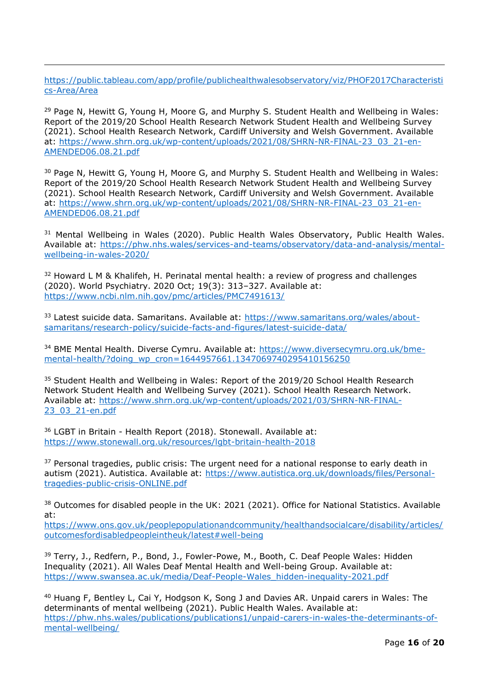[https://public.tableau.com/app/profile/publichealthwalesobservatory/viz/PHOF2017Characteristi](https://public.tableau.com/app/profile/publichealthwalesobservatory/viz/PHOF2017Characteristics-Area/Area) [cs-Area/Area](https://public.tableau.com/app/profile/publichealthwalesobservatory/viz/PHOF2017Characteristics-Area/Area)

-

<sup>29</sup> Page N, Hewitt G, Young H, Moore G, and Murphy S. Student Health and Wellbeing in Wales: Report of the 2019/20 School Health Research Network Student Health and Wellbeing Survey (2021). School Health Research Network, Cardiff University and Welsh Government. Available at: [https://www.shrn.org.uk/wp-content/uploads/2021/08/SHRN-NR-FINAL-23\\_03\\_21-en-](https://www.shrn.org.uk/wp-content/uploads/2021/08/SHRN-NR-FINAL-23_03_21-en-AMENDED06.08.21.pdf)[AMENDED06.08.21.pdf](https://www.shrn.org.uk/wp-content/uploads/2021/08/SHRN-NR-FINAL-23_03_21-en-AMENDED06.08.21.pdf)

<sup>30</sup> Page N, Hewitt G, Young H, Moore G, and Murphy S. Student Health and Wellbeing in Wales: Report of the 2019/20 School Health Research Network Student Health and Wellbeing Survey (2021). School Health Research Network, Cardiff University and Welsh Government. Available at: [https://www.shrn.org.uk/wp-content/uploads/2021/08/SHRN-NR-FINAL-23\\_03\\_21-en-](https://www.shrn.org.uk/wp-content/uploads/2021/08/SHRN-NR-FINAL-23_03_21-en-AMENDED06.08.21.pdf)[AMENDED06.08.21.pdf](https://www.shrn.org.uk/wp-content/uploads/2021/08/SHRN-NR-FINAL-23_03_21-en-AMENDED06.08.21.pdf)

<sup>31</sup> Mental Wellbeing in Wales (2020). Public Health Wales Observatory, Public Health Wales. Available at: [https://phw.nhs.wales/services-and-teams/observatory/data-and-analysis/mental](https://phw.nhs.wales/services-and-teams/observatory/data-and-analysis/mental-wellbeing-in-wales-2020/)[wellbeing-in-wales-2020/](https://phw.nhs.wales/services-and-teams/observatory/data-and-analysis/mental-wellbeing-in-wales-2020/)

<sup>32</sup> Howard L M & Khalifeh, H. Perinatal mental health: a review of progress and challenges (2020). World Psychiatry. 2020 Oct; 19(3): 313–327. Available at: <https://www.ncbi.nlm.nih.gov/pmc/articles/PMC7491613/>

<sup>33</sup> Latest suicide data. Samaritans. Available at: [https://www.samaritans.org/wales/about](https://www.samaritans.org/wales/about-samaritans/research-policy/suicide-facts-and-figures/latest-suicide-data/)[samaritans/research-policy/suicide-facts-and-figures/latest-suicide-data/](https://www.samaritans.org/wales/about-samaritans/research-policy/suicide-facts-and-figures/latest-suicide-data/)

<sup>34</sup> BME Mental Health. Diverse Cymru. Available at: [https://www.diversecymru.org.uk/bme](https://www.diversecymru.org.uk/bme-mental-health/?doing_wp_cron=1644957661.1347069740295410156250)[mental-health/?doing\\_wp\\_cron=1644957661.1347069740295410156250](https://www.diversecymru.org.uk/bme-mental-health/?doing_wp_cron=1644957661.1347069740295410156250)

<sup>35</sup> Student Health and Wellbeing in Wales: Report of the 2019/20 School Health Research Network Student Health and Wellbeing Survey (2021). School Health Research Network. Available at: [https://www.shrn.org.uk/wp-content/uploads/2021/03/SHRN-NR-FINAL-](https://www.shrn.org.uk/wp-content/uploads/2021/03/SHRN-NR-FINAL-23_03_21-en.pdf)[23\\_03\\_21-en.pdf](https://www.shrn.org.uk/wp-content/uploads/2021/03/SHRN-NR-FINAL-23_03_21-en.pdf)

<sup>36</sup> LGBT in Britain - Health Report (2018). Stonewall. Available at: <https://www.stonewall.org.uk/resources/lgbt-britain-health-2018>

<sup>37</sup> Personal tragedies, public crisis: The urgent need for a national response to early death in autism (2021). Autistica. Available at: [https://www.autistica.org.uk/downloads/files/Personal](https://www.autistica.org.uk/downloads/files/Personal-tragedies-public-crisis-ONLINE.pdf)[tragedies-public-crisis-ONLINE.pdf](https://www.autistica.org.uk/downloads/files/Personal-tragedies-public-crisis-ONLINE.pdf) 

<sup>38</sup> Outcomes for disabled people in the UK: 2021 (2021). Office for National Statistics. Available at:

[https://www.ons.gov.uk/peoplepopulationandcommunity/healthandsocialcare/disability/articles/](https://www.ons.gov.uk/peoplepopulationandcommunity/healthandsocialcare/disability/articles/outcomesfordisabledpeopleintheuk/latest#well-being) [outcomesfordisabledpeopleintheuk/latest#well-being](https://www.ons.gov.uk/peoplepopulationandcommunity/healthandsocialcare/disability/articles/outcomesfordisabledpeopleintheuk/latest#well-being)

<sup>39</sup> Terry, J., Redfern, P., Bond, J., Fowler-Powe, M., Booth, C. Deaf People Wales: Hidden Inequality (2021). All Wales Deaf Mental Health and Well-being Group. Available at: [https://www.swansea.ac.uk/media/Deaf-People-Wales\\_hidden-inequality-2021.pdf](https://www.swansea.ac.uk/media/Deaf-People-Wales_hidden-inequality-2021.pdf)

<sup>40</sup> Huang F, Bentley L, Cai Y, Hodgson K, Song J and Davies AR. Unpaid carers in Wales: The determinants of mental wellbeing (2021). Public Health Wales. Available at: [https://phw.nhs.wales/publications/publications1/unpaid-carers-in-wales-the-determinants-of](https://phw.nhs.wales/publications/publications1/unpaid-carers-in-wales-the-determinants-of-mental-wellbeing/)[mental-wellbeing/](https://phw.nhs.wales/publications/publications1/unpaid-carers-in-wales-the-determinants-of-mental-wellbeing/)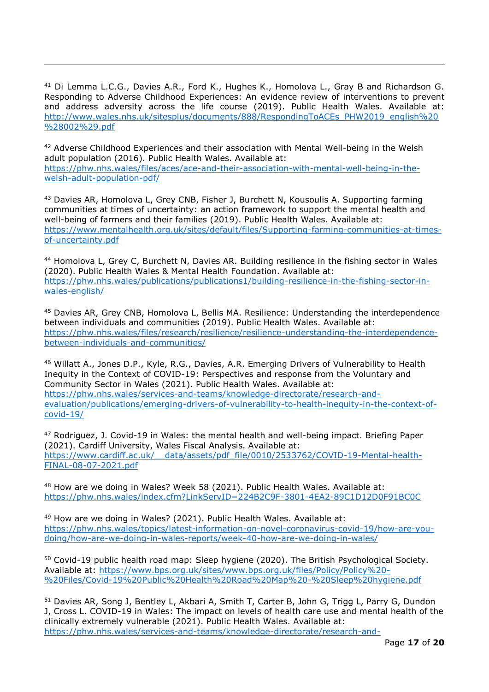<sup>41</sup> Di Lemma L.C.G., Davies A.R., Ford K., Hughes K., Homolova L., Gray B and Richardson G. Responding to Adverse Childhood Experiences: An evidence review of interventions to prevent and address adversity across the life course (2019). Public Health Wales. Available at: [http://www.wales.nhs.uk/sitesplus/documents/888/RespondingToACEs\\_PHW2019\\_english%20](http://www.wales.nhs.uk/sitesplus/documents/888/RespondingToACEs_PHW2019_english%20%28002%29.pdf) [%28002%29.pdf](http://www.wales.nhs.uk/sitesplus/documents/888/RespondingToACEs_PHW2019_english%20%28002%29.pdf)

-

<sup>42</sup> Adverse Childhood Experiences and their association with Mental Well-being in the Welsh adult population (2016). Public Health Wales. Available at: [https://phw.nhs.wales/files/aces/ace-and-their-association-with-mental-well-being-in-the](https://phw.nhs.wales/files/aces/ace-and-their-association-with-mental-well-being-in-the-welsh-adult-population-pdf/)[welsh-adult-population-pdf/](https://phw.nhs.wales/files/aces/ace-and-their-association-with-mental-well-being-in-the-welsh-adult-population-pdf/) 

<sup>43</sup> Davies AR, Homolova L, Grey CNB, Fisher J, Burchett N, Kousoulis A. Supporting farming communities at times of uncertainty: an action framework to support the mental health and well-being of farmers and their families (2019). Public Health Wales. Available at: [https://www.mentalhealth.org.uk/sites/default/files/Supporting-farming-communities-at-times](https://www.mentalhealth.org.uk/sites/default/files/Supporting-farming-communities-at-times-of-uncertainty.pdf)[of-uncertainty.pdf](https://www.mentalhealth.org.uk/sites/default/files/Supporting-farming-communities-at-times-of-uncertainty.pdf)

<sup>44</sup> Homolova L, Grey C, Burchett N, Davies AR. Building resilience in the fishing sector in Wales (2020). Public Health Wales & Mental Health Foundation. Available at: [https://phw.nhs.wales/publications/publications1/building-resilience-in-the-fishing-sector-in](https://phw.nhs.wales/publications/publications1/building-resilience-in-the-fishing-sector-in-wales-english/)[wales-english/](https://phw.nhs.wales/publications/publications1/building-resilience-in-the-fishing-sector-in-wales-english/)

<sup>45</sup> Davies AR, Grey CNB, Homolova L, Bellis MA. Resilience: Understanding the interdependence between individuals and communities (2019). Public Health Wales. Available at: [https://phw.nhs.wales/files/research/resilience/resilience-understanding-the-interdependence](https://phw.nhs.wales/files/research/resilience/resilience-understanding-the-interdependence-between-individuals-and-communities/)[between-individuals-and-communities/](https://phw.nhs.wales/files/research/resilience/resilience-understanding-the-interdependence-between-individuals-and-communities/)

<sup>46</sup> Willatt A., Jones D.P., Kyle, R.G., Davies, A.R. Emerging Drivers of Vulnerability to Health Inequity in the Context of COVID-19: Perspectives and response from the Voluntary and Community Sector in Wales (2021). Public Health Wales. Available at: [https://phw.nhs.wales/services-and-teams/knowledge-directorate/research-and](https://phw.nhs.wales/services-and-teams/knowledge-directorate/research-and-evaluation/publications/emerging-drivers-of-vulnerability-to-health-inequity-in-the-context-of-covid-19/)[evaluation/publications/emerging-drivers-of-vulnerability-to-health-inequity-in-the-context-of](https://phw.nhs.wales/services-and-teams/knowledge-directorate/research-and-evaluation/publications/emerging-drivers-of-vulnerability-to-health-inequity-in-the-context-of-covid-19/)[covid-19/](https://phw.nhs.wales/services-and-teams/knowledge-directorate/research-and-evaluation/publications/emerging-drivers-of-vulnerability-to-health-inequity-in-the-context-of-covid-19/)

<sup>47</sup> Rodriguez, J. Covid-19 in Wales: the mental health and well-being impact. Briefing Paper (2021). Cardiff University, Wales Fiscal Analysis. Available at: [https://www.cardiff.ac.uk/\\_\\_data/assets/pdf\\_file/0010/2533762/COVID-19-Mental-health-](https://www.cardiff.ac.uk/__data/assets/pdf_file/0010/2533762/COVID-19-Mental-health-FINAL-08-07-2021.pdf)[FINAL-08-07-2021.pdf](https://www.cardiff.ac.uk/__data/assets/pdf_file/0010/2533762/COVID-19-Mental-health-FINAL-08-07-2021.pdf)

<sup>48</sup> How are we doing in Wales? Week 58 (2021). Public Health Wales. Available at: <https://phw.nhs.wales/index.cfm?LinkServID=224B2C9F-3801-4EA2-89C1D12D0F91BC0C>

<sup>49</sup> How are we doing in Wales? (2021). Public Health Wales. Available at: [https://phw.nhs.wales/topics/latest-information-on-novel-coronavirus-covid-19/how-are-you](https://phw.nhs.wales/topics/latest-information-on-novel-coronavirus-covid-19/how-are-you-doing/how-are-we-doing-in-wales-reports/week-40-how-are-we-doing-in-wales/)[doing/how-are-we-doing-in-wales-reports/week-40-how-are-we-doing-in-wales/](https://phw.nhs.wales/topics/latest-information-on-novel-coronavirus-covid-19/how-are-you-doing/how-are-we-doing-in-wales-reports/week-40-how-are-we-doing-in-wales/)

<sup>50</sup> Covid-19 public health road map: Sleep hygiene (2020). The British Psychological Society. Available at: [https://www.bps.org.uk/sites/www.bps.org.uk/files/Policy/Policy%20-](https://www.bps.org.uk/sites/www.bps.org.uk/files/Policy/Policy%20-%20Files/Covid-19%20Public%20Health%20Road%20Map%20-%20Sleep%20hygiene.pdf) [%20Files/Covid-19%20Public%20Health%20Road%20Map%20-%20Sleep%20hygiene.pdf](https://www.bps.org.uk/sites/www.bps.org.uk/files/Policy/Policy%20-%20Files/Covid-19%20Public%20Health%20Road%20Map%20-%20Sleep%20hygiene.pdf)

<sup>51</sup> Davies AR, Song J, Bentley L, Akbari A, Smith T, Carter B, John G, Trigg L, Parry G, Dundon J, Cross L. COVID-19 in Wales: The impact on levels of health care use and mental health of the clinically extremely vulnerable (2021). Public Health Wales. Available at: [https://phw.nhs.wales/services-and-teams/knowledge-directorate/research-and-](https://phw.nhs.wales/services-and-teams/knowledge-directorate/research-and-evaluation/publications/covid-19-in-wales-the-impact-on-levels-of-health-care-use-and-mental-health-of-the-clinically-extremely-vulnerable/)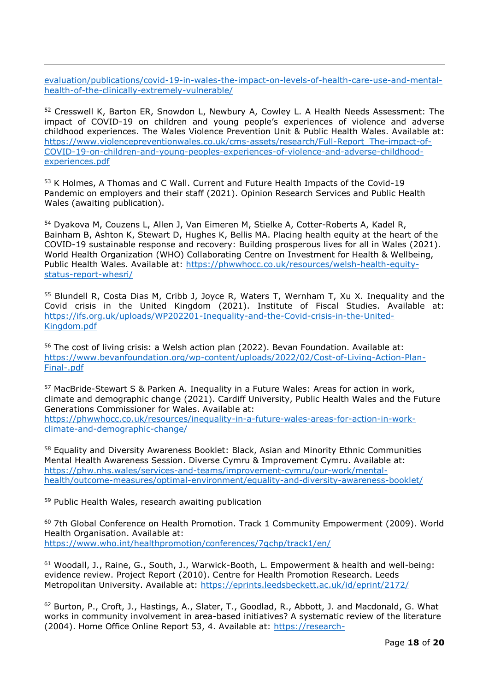[evaluation/publications/covid-19-in-wales-the-impact-on-levels-of-health-care-use-and-mental](https://phw.nhs.wales/services-and-teams/knowledge-directorate/research-and-evaluation/publications/covid-19-in-wales-the-impact-on-levels-of-health-care-use-and-mental-health-of-the-clinically-extremely-vulnerable/)[health-of-the-clinically-extremely-vulnerable/](https://phw.nhs.wales/services-and-teams/knowledge-directorate/research-and-evaluation/publications/covid-19-in-wales-the-impact-on-levels-of-health-care-use-and-mental-health-of-the-clinically-extremely-vulnerable/)

<sup>52</sup> Cresswell K, Barton ER, Snowdon L, Newbury A, Cowley L. A Health Needs Assessment: The impact of COVID-19 on children and young people's experiences of violence and adverse childhood experiences. The Wales Violence Prevention Unit & Public Health Wales. Available at: [https://www.violencepreventionwales.co.uk/cms-assets/research/Full-Report\\_The-impact-of-](https://www.violencepreventionwales.co.uk/cms-assets/research/Full-Report_The-impact-of-COVID-19-on-children-and-young-peoples-experiences-of-violence-and-adverse-childhood-experiences.pdf)[COVID-19-on-children-and-young-peoples-experiences-of-violence-and-adverse-childhood](https://www.violencepreventionwales.co.uk/cms-assets/research/Full-Report_The-impact-of-COVID-19-on-children-and-young-peoples-experiences-of-violence-and-adverse-childhood-experiences.pdf)[experiences.pdf](https://www.violencepreventionwales.co.uk/cms-assets/research/Full-Report_The-impact-of-COVID-19-on-children-and-young-peoples-experiences-of-violence-and-adverse-childhood-experiences.pdf) 

<sup>53</sup> K Holmes, A Thomas and C Wall. Current and Future Health Impacts of the Covid-19 Pandemic on employers and their staff (2021). Opinion Research Services and Public Health Wales (awaiting publication).

<sup>54</sup> Dyakova M, Couzens L, Allen J, Van Eimeren M, Stielke A, Cotter-Roberts A, Kadel R, Bainham B, Ashton K, Stewart D, Hughes K, Bellis MA. Placing health equity at the heart of the COVID-19 sustainable response and recovery: Building prosperous lives for all in Wales (2021). World Health Organization (WHO) Collaborating Centre on Investment for Health & Wellbeing, Public Health Wales. Available at: [https://phwwhocc.co.uk/resources/welsh-health-equity](https://phwwhocc.co.uk/resources/welsh-health-equity-status-report-whesri/)[status-report-whesri/](https://phwwhocc.co.uk/resources/welsh-health-equity-status-report-whesri/)

<sup>55</sup> Blundell R, Costa Dias M, Cribb J, Joyce R, Waters T, Wernham T, Xu X. Inequality and the Covid crisis in the United Kingdom (2021). Institute of Fiscal Studies. Available at: [https://ifs.org.uk/uploads/WP202201-Inequality-and-the-Covid-crisis-in-the-United-](https://ifs.org.uk/uploads/WP202201-Inequality-and-the-Covid-crisis-in-the-United-Kingdom.pdf)[Kingdom.pdf](https://ifs.org.uk/uploads/WP202201-Inequality-and-the-Covid-crisis-in-the-United-Kingdom.pdf)

<sup>56</sup> The cost of living crisis: a Welsh action plan (2022). Bevan Foundation. Available at: [https://www.bevanfoundation.org/wp-content/uploads/2022/02/Cost-of-Living-Action-Plan-](https://www.bevanfoundation.org/wp-content/uploads/2022/02/Cost-of-Living-Action-Plan-Final-.pdf)[Final-.pdf](https://www.bevanfoundation.org/wp-content/uploads/2022/02/Cost-of-Living-Action-Plan-Final-.pdf)

<sup>57</sup> MacBride-Stewart S & Parken A. Inequality in a Future Wales: Areas for action in work, climate and demographic change (2021). Cardiff University, Public Health Wales and the Future Generations Commissioner for Wales. Available at: [https://phwwhocc.co.uk/resources/inequality-in-a-future-wales-areas-for-action-in-work-](https://phwwhocc.co.uk/resources/inequality-in-a-future-wales-areas-for-action-in-work-climate-and-demographic-change/)

[climate-and-demographic-change/](https://phwwhocc.co.uk/resources/inequality-in-a-future-wales-areas-for-action-in-work-climate-and-demographic-change/)

58 Equality and Diversity Awareness Booklet: Black, Asian and Minority Ethnic Communities Mental Health Awareness Session. Diverse Cymru & Improvement Cymru. Available at: [https://phw.nhs.wales/services-and-teams/improvement-cymru/our-work/mental](https://phw.nhs.wales/services-and-teams/improvement-cymru/our-work/mental-health/outcome-measures/optimal-environment/equality-and-diversity-awareness-booklet/)[health/outcome-measures/optimal-environment/equality-and-diversity-awareness-booklet/](https://phw.nhs.wales/services-and-teams/improvement-cymru/our-work/mental-health/outcome-measures/optimal-environment/equality-and-diversity-awareness-booklet/)

<sup>59</sup> Public Health Wales, research awaiting publication

-

<sup>60</sup> 7th Global Conference on Health Promotion. Track 1 Community Empowerment (2009). World Health Organisation. Available at: <https://www.who.int/healthpromotion/conferences/7gchp/track1/en/>

<sup>61</sup> Woodall, J., Raine, G., South, J., Warwick-Booth, L. Empowerment & health and well-being: evidence review. Project Report (2010). Centre for Health Promotion Research. Leeds Metropolitan University. Available at:<https://eprints.leedsbeckett.ac.uk/id/eprint/2172/>

<sup>62</sup> Burton, P., Croft, J., Hastings, A., Slater, T., Goodlad, R., Abbott, J. and Macdonald, G. What works in community involvement in area-based initiatives? A systematic review of the literature (2004). Home Office Online Report 53, 4. Available at: [https://research-](https://research-information.bris.ac.uk/en/publications/what-works-in-community-involvement-in-area-based-initiatives-a-s)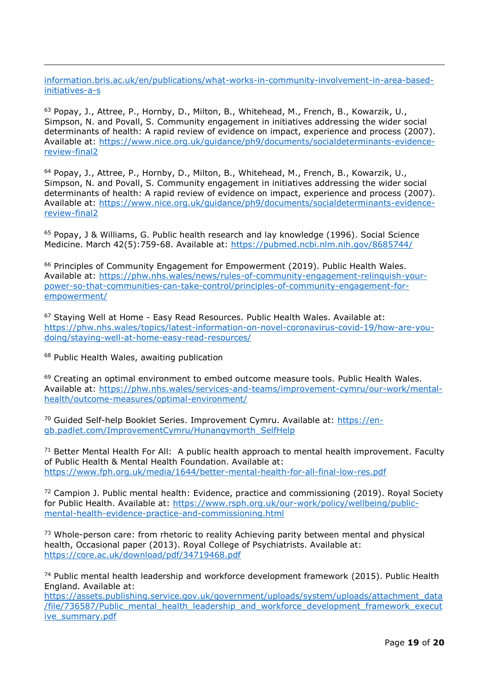[information.bris.ac.uk/en/publications/what-works-in-community-involvement-in-area-based](https://research-information.bris.ac.uk/en/publications/what-works-in-community-involvement-in-area-based-initiatives-a-s)[initiatives-a-s](https://research-information.bris.ac.uk/en/publications/what-works-in-community-involvement-in-area-based-initiatives-a-s)

<sup>63</sup> Popay, J., Attree, P., Hornby, D., Milton, B., Whitehead, M., French, B., Kowarzik, U., Simpson, N. and Povall, S. Community engagement in initiatives addressing the wider social determinants of health: A rapid review of evidence on impact, experience and process (2007). Available at: [https://www.nice.org.uk/guidance/ph9/documents/socialdeterminants-evidence](https://www.nice.org.uk/guidance/ph9/documents/socialdeterminants-evidence-review-final2)[review-final2](https://www.nice.org.uk/guidance/ph9/documents/socialdeterminants-evidence-review-final2)

<sup>64</sup> Popay, J., Attree, P., Hornby, D., Milton, B., Whitehead, M., French, B., Kowarzik, U., Simpson, N. and Povall, S. Community engagement in initiatives addressing the wider social determinants of health: A rapid review of evidence on impact, experience and process (2007). Available at: [https://www.nice.org.uk/guidance/ph9/documents/socialdeterminants-evidence](https://www.nice.org.uk/guidance/ph9/documents/socialdeterminants-evidence-review-final2)[review-final2](https://www.nice.org.uk/guidance/ph9/documents/socialdeterminants-evidence-review-final2)

<sup>65</sup> Popay, J & Williams, G. Public health research and lay knowledge (1996). Social Science Medicine. March 42(5):759-68. Available at:<https://pubmed.ncbi.nlm.nih.gov/8685744/>

<sup>66</sup> Principles of Community Engagement for Empowerment (2019). Public Health Wales. Available at: [https://phw.nhs.wales/news/rules-of-community-engagement-relinquish-your](https://phw.nhs.wales/news/rules-of-community-engagement-relinquish-your-power-so-that-communities-can-take-control/principles-of-community-engagement-for-empowerment/)[power-so-that-communities-can-take-control/principles-of-community-engagement-for](https://phw.nhs.wales/news/rules-of-community-engagement-relinquish-your-power-so-that-communities-can-take-control/principles-of-community-engagement-for-empowerment/)[empowerment/](https://phw.nhs.wales/news/rules-of-community-engagement-relinquish-your-power-so-that-communities-can-take-control/principles-of-community-engagement-for-empowerment/)

<sup>67</sup> Staying Well at Home - Easy Read Resources. Public Health Wales. Available at: [https://phw.nhs.wales/topics/latest-information-on-novel-coronavirus-covid-19/how-are-you](https://phw.nhs.wales/topics/latest-information-on-novel-coronavirus-covid-19/how-are-you-doing/staying-well-at-home-easy-read-resources/)[doing/staying-well-at-home-easy-read-resources/](https://phw.nhs.wales/topics/latest-information-on-novel-coronavirus-covid-19/how-are-you-doing/staying-well-at-home-easy-read-resources/)

<sup>68</sup> Public Health Wales, awaiting publication

-

<sup>69</sup> Creating an optimal environment to embed outcome measure tools. Public Health Wales. Available at: [https://phw.nhs.wales/services-and-teams/improvement-cymru/our-work/mental](https://phw.nhs.wales/services-and-teams/improvement-cymru/our-work/mental-health/outcome-measures/optimal-environment/)[health/outcome-measures/optimal-environment/](https://phw.nhs.wales/services-and-teams/improvement-cymru/our-work/mental-health/outcome-measures/optimal-environment/)

<sup>70</sup> Guided Self-help Booklet Series. Improvement Cymru. Available at: [https://en](https://en-gb.padlet.com/ImprovementCymru/Hunangymorth_SelfHelp)[gb.padlet.com/ImprovementCymru/Hunangymorth\\_SelfHelp](https://en-gb.padlet.com/ImprovementCymru/Hunangymorth_SelfHelp)

 $71$  Better Mental Health For All: A public health approach to mental health improvement. Faculty of Public Health & Mental Health Foundation. Available at: <https://www.fph.org.uk/media/1644/better-mental-health-for-all-final-low-res.pdf>

72 Campion J. Public mental health: Evidence, practice and commissioning (2019). Royal Society for Public Health. Available at: [https://www.rsph.org.uk/our-work/policy/wellbeing/public](https://www.rsph.org.uk/our-work/policy/wellbeing/public-mental-health-evidence-practice-and-commissioning.html)[mental-health-evidence-practice-and-commissioning.html](https://www.rsph.org.uk/our-work/policy/wellbeing/public-mental-health-evidence-practice-and-commissioning.html)

<sup>73</sup> Whole-person care: from rhetoric to reality Achieving parity between mental and physical health, Occasional paper (2013). Royal College of Psychiatrists. Available at: <https://core.ac.uk/download/pdf/34719468.pdf>

<sup>74</sup> Public mental health leadership and workforce development framework (2015). Public Health England. Available at:

[https://assets.publishing.service.gov.uk/government/uploads/system/uploads/attachment\\_data](https://assets.publishing.service.gov.uk/government/uploads/system/uploads/attachment_data/file/736587/Public_mental_health_leadership_and_workforce_development_framework_executive_summary.pdf) [/file/736587/Public\\_mental\\_health\\_leadership\\_and\\_workforce\\_development\\_framework\\_execut](https://assets.publishing.service.gov.uk/government/uploads/system/uploads/attachment_data/file/736587/Public_mental_health_leadership_and_workforce_development_framework_executive_summary.pdf) [ive\\_summary.pdf](https://assets.publishing.service.gov.uk/government/uploads/system/uploads/attachment_data/file/736587/Public_mental_health_leadership_and_workforce_development_framework_executive_summary.pdf)